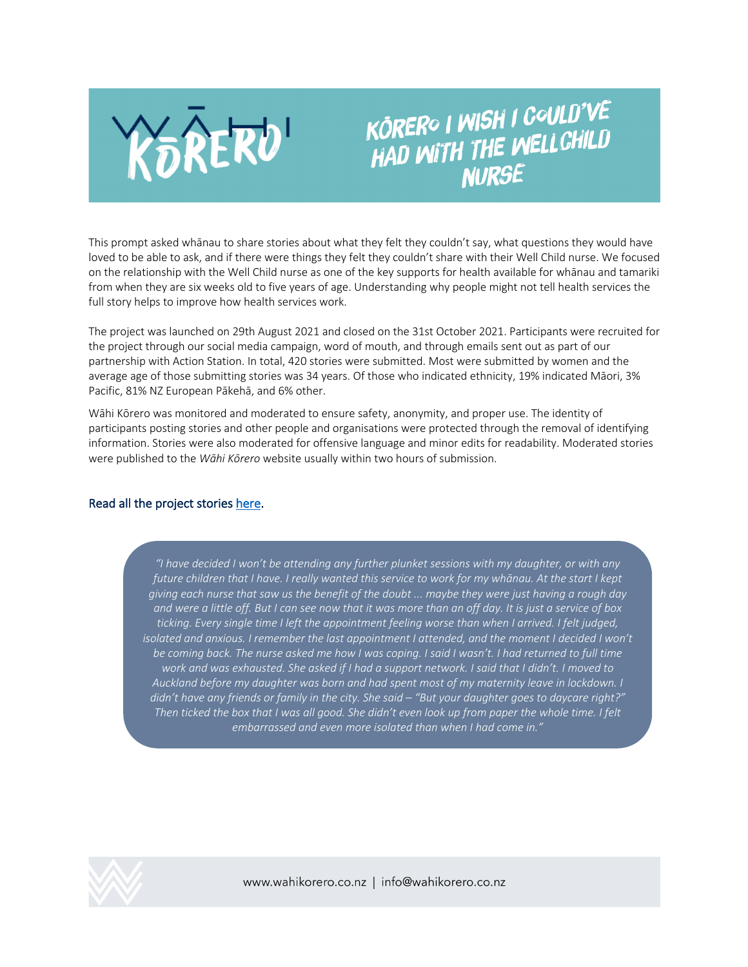

# KÔRERO I WISH I COULD'VE KOREKO I WIƏH I UYULU<br>HAD WITH THE WELLCHILD **NURSE**

This prompt asked whānau to share stories about what they felt they couldn't say, what questions they would have loved to be able to ask, and if there were things they felt they couldn't share with their Well Child nurse. We focused on the relationship with the Well Child nurse as one of the key supports for health available for whānau and tamariki from when they are six weeks old to five years of age. Understanding why people might not tell health services the full story helps to improve how health services work.

The project was launched on 29th August 2021 and closed on the 31st October 2021. Participants were recruited for the project through our social media campaign, word of mouth, and through emails sent out as part of our partnership with Action Station. In total, 420 stories were submitted. Most were submitted by women and the average age of those submitting stories was 34 years. Of those who indicated ethnicity, 19% indicated Māori, 3% Pacific, 81% NZ European Pākehā, and 6% other.

Wāhi Kōrero was monitored and moderated to ensure safety, anonymity, and proper use. The identity of participants posting stories and other people and organisations were protected through the removal of identifying information. Stories were also moderated for offensive language and minor edits for readability. Moderated stories were published to the *Wāhi Kōrero* website usually within two hours of submission.

# Read all the project stories here.

*"I have decided I won't be attending any further plunket sessions with my daughter, or with any future children that I have. I really wanted this service to work for my whānau. At the start I kept giving each nurse that saw us the benefit of the doubt ... maybe they were just having a rough day and were a little off. But I can see now that it was more than an off day. It is just a service of box ticking. Every single time I left the appointment feeling worse than when I arrived. I felt judged, isolated and anxious. I remember the last appointment I attended, and the moment I decided I won't be coming back. The nurse asked me how I was coping. I said I wasn't. I had returned to full time work and was exhausted. She asked if I had a support network. I said that I didn't. I moved to Auckland before my daughter was born and had spent most of my maternity leave in lockdown. I didn't have any friends or family in the city. She said – "But your daughter goes to daycare right?" Then ticked the box that I was all good. She didn't even look up from paper the whole time. I felt embarrassed and even more isolated than when I had come in."*

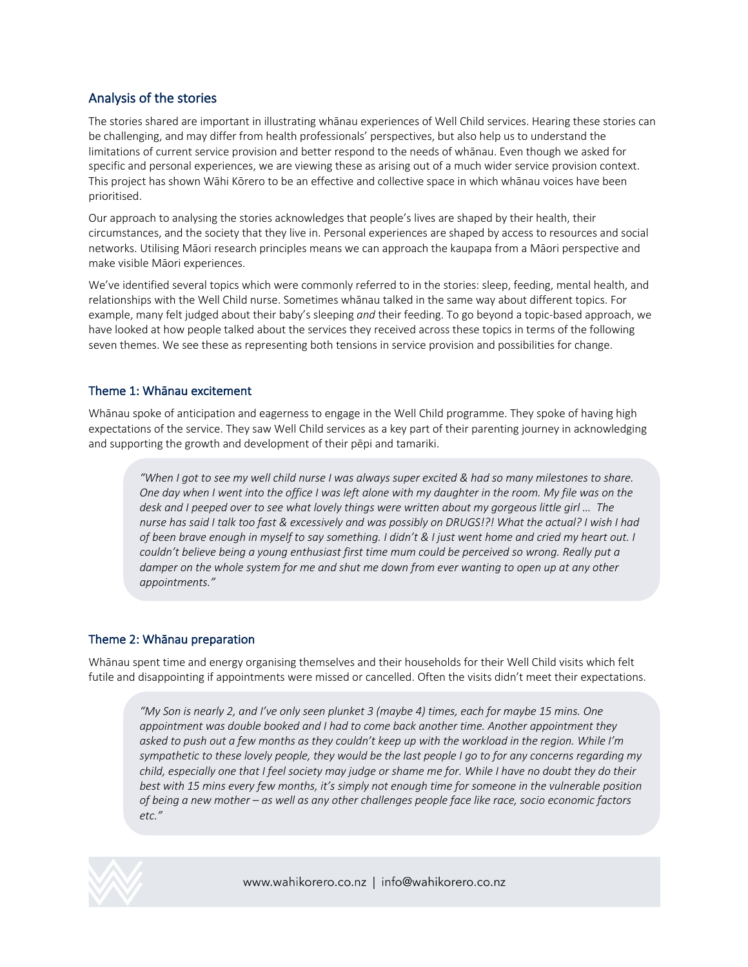# Analysis of the stories

The stories shared are important in illustrating whānau experiences of Well Child services. Hearing these stories can be challenging, and may differ from health professionals' perspectives, but also help us to understand the limitations of current service provision and better respond to the needs of whānau. Even though we asked for specific and personal experiences, we are viewing these as arising out of a much wider service provision context. This project has shown Wāhi Kōrero to be an effective and collective space in which whānau voices have been prioritised.

Our approach to analysing the stories acknowledges that people's lives are shaped by their health, their circumstances, and the society that they live in. Personal experiences are shaped by access to resources and social networks. Utilising Māori research principles means we can approach the kaupapa from a Māori perspective and make visible Māori experiences.

We've identified several topics which were commonly referred to in the stories: sleep, feeding, mental health, and relationships with the Well Child nurse. Sometimes whānau talked in the same way about different topics. For example, many felt judged about their baby's sleeping *and* their feeding. To go beyond a topic-based approach, we have looked at how people talked about the services they received across these topics in terms of the following seven themes. We see these as representing both tensions in service provision and possibilities for change.

# Theme 1: Whānau excitement

Whānau spoke of anticipation and eagerness to engage in the Well Child programme. They spoke of having high expectations of the service. They saw Well Child services as a key part of their parenting journey in acknowledging and supporting the growth and development of their pēpi and tamariki.

*"When I got to see my well child nurse I was always super excited & had so many milestones to share. One day when I went into the office I was left alone with my daughter in the room. My file was on the desk and I peeped over to see what lovely things were written about my gorgeous little girl … The nurse has said I talk too fast & excessively and was possibly on DRUGS!?! What the actual? I wish I had of been brave enough in myself to say something. I didn't & I just went home and cried my heart out. I couldn't believe being a young enthusiast first time mum could be perceived so wrong. Really put a damper on the whole system for me and shut me down from ever wanting to open up at any other appointments."*

# Theme 2: Whānau preparation

Whānau spent time and energy organising themselves and their households for their Well Child visits which felt futile and disappointing if appointments were missed or cancelled. Often the visits didn't meet their expectations.

*"My Son is nearly 2, and I've only seen plunket 3 (maybe 4) times, each for maybe 15 mins. One appointment was double booked and I had to come back another time. Another appointment they asked to push out a few months as they couldn't keep up with the workload in the region. While I'm sympathetic to these lovely people, they would be the last people I go to for any concerns regarding my child, especially one that I feel society may judge or shame me for. While I have no doubt they do their best with 15 mins every few months, it's simply not enough time for someone in the vulnerable position of being a new mother – as well as any other challenges people face like race, socio economic factors etc."*

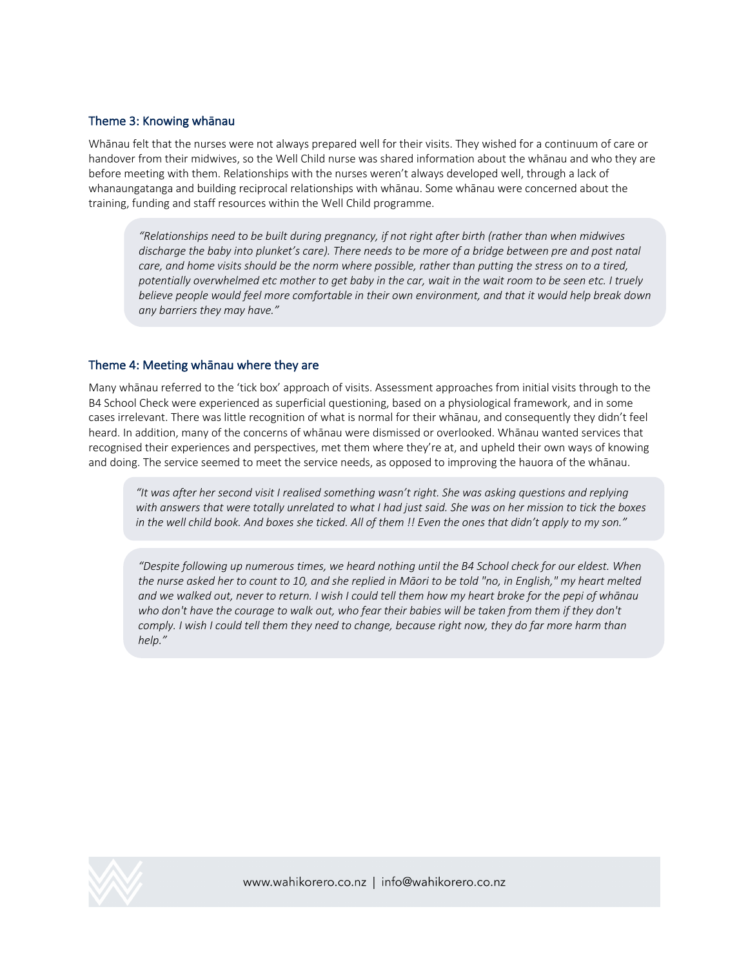#### Theme 3: Knowing whānau

Whānau felt that the nurses were not always prepared well for their visits. They wished for a continuum of care or handover from their midwives, so the Well Child nurse was shared information about the whānau and who they are before meeting with them. Relationships with the nurses weren't always developed well, through a lack of whanaungatanga and building reciprocal relationships with whānau. Some whānau were concerned about the training, funding and staff resources within the Well Child programme.

*"Relationships need to be built during pregnancy, if not right after birth (rather than when midwives discharge the baby into plunket's care). There needs to be more of a bridge between pre and post natal care, and home visits should be the norm where possible, rather than putting the stress on to a tired, potentially overwhelmed etc mother to get baby in the car, wait in the wait room to be seen etc. I truely believe people would feel more comfortable in their own environment, and that it would help break down any barriers they may have."*

#### Theme 4: Meeting whānau where they are

Many whānau referred to the 'tick box' approach of visits. Assessment approaches from initial visits through to the B4 School Check were experienced as superficial questioning, based on a physiological framework, and in some cases irrelevant. There was little recognition of what is normal for their whānau, and consequently they didn't feel heard. In addition, many of the concerns of whānau were dismissed or overlooked. Whānau wanted services that recognised their experiences and perspectives, met them where they're at, and upheld their own ways of knowing and doing. The service seemed to meet the service needs, as opposed to improving the hauora of the whānau.

*"It was after her second visit I realised something wasn't right. She was asking questions and replying with answers that were totally unrelated to what I had just said. She was on her mission to tick the boxes in the well child book. And boxes she ticked. All of them !! Even the ones that didn't apply to my son."*

*"Despite following up numerous times, we heard nothing until the B4 School check for our eldest. When the nurse asked her to count to 10, and she replied in Māori to be told "no, in English," my heart melted and we walked out, never to return. I wish I could tell them how my heart broke for the pepi of whānau who don't have the courage to walk out, who fear their babies will be taken from them if they don't comply. I wish I could tell them they need to change, because right now, they do far more harm than help."*